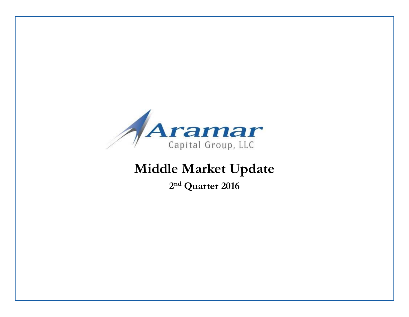

# **Middle Market Update**

**2 nd Quarter 2016**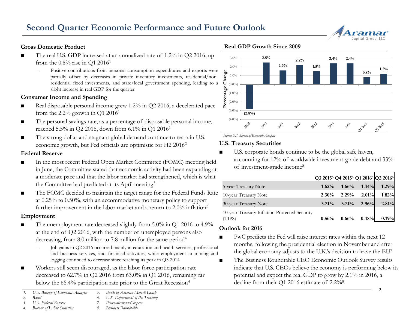

#### **Gross Domestic Product**

- The real U.S. GDP increased at an annualized rate of 1.2% in O2 2016, up from the  $0.8\%$  rise in O1 2016<sup>1</sup>
	- ― Positive contributions from personal consumption expenditures and exports were partially offset by decreases in private inventory investments, residential/nonresidential fixed investments, and state/local government spending, leading to a slight increase in real GDP for the quarter

#### **Consumer Income and Spending**

- Real disposable personal income grew 1.2% in Q2 2016, a decelerated pace from the  $2.2\%$  growth in Q1 2016<sup>1</sup>
- The personal savings rate, as a percentage of disposable personal income, reached 5.5% in Q2 2016, down from 6.1% in Q1 2016<sup>1</sup>
- The strong dollar and stagnant global demand continue to restrain U.S. economic growth, but Fed officials are optimistic for H2 2016<sup>2</sup>

#### **Federal Reserve**

- In the most recent Federal Open Market Committee (FOMC) meeting held in June, the Committee stated that economic activity had been expanding at a moderate pace and that the labor market had strengthened, which is what the Committee had predicted at its April meeting<sup>3</sup>
- The FOMC decided to maintain the target range for the Federal Funds Rate at 0.25% to 0.50%, with an accommodative monetary policy to support further improvement in the labor market and a return to 2.0% inflation<sup>3</sup>

#### **Employment**

- The unemployment rate decreased slightly from 5.0% in Q1 2016 to 4.9% at the end of Q2 2016, with the number of unemployed persons also decreasing, from 8.0 million to 7.8 million for the same period<sup>4</sup>
	- Job gains in Q2 2016 occurred mainly in education and health services, professional and business services, and financial activities, while employment in mining and logging continued to decrease since reaching its peak in Q3 2014
- Workers still seem discouraged, as the labor force participation rate decreased to 62.7% in Q2 2016 from 63.0% in Q1 2016, remaining far below the 66.4% participation rate prior to the Great Recession<sup>4</sup>

#### **Real GDP Growth Since 2009**



*Source: U.S. Bureau of Economic Analysis*

#### **U.S. Treasury Securities**

■ U.S. corporate bonds continue to be the global safe haven, accounting for 12% of worldwide investment-grade debt and 33% of investment-grade income<sup>5</sup>

|                                                         | Q3 2015 <sup>6</sup> Q4 2015 <sup>6</sup> Q1 2016 <sup>6</sup> Q2 2016 <sup>6</sup> |          |          |       |
|---------------------------------------------------------|-------------------------------------------------------------------------------------|----------|----------|-------|
| 5-year Treasury Note                                    | 1.62%                                                                               | $1.66\%$ | $1.44\%$ | 1.29% |
| 10-year Treasury Note                                   | $2.30\%$                                                                            | 2.29%    | 2.01%    | 1.82% |
| 30-year Treasury Note                                   | $3.21\%$                                                                            | $3.21\%$ | 2.96%    | 2.81% |
| 10-year Treasury Inflation Protected Security<br>(TIPS) | 0.56%                                                                               | 0.66%    | 0.48%    | 0.19% |

#### **Outlook for 2016**

- PwC predicts the Fed will raise interest rates within the next 12 months, following the presidential election in November and after the global economy adjusts to the U.K.'s decision to leave the EU<sup>7</sup>
- The Business Roundtable CEO Economic Outlook Survey results indicate that U.S. CEOs believe the economy is performing below its potential and expect the real GDP to grow by 2.1% in 2016, a decline from their Q1 2016 estimate of 2.2%<sup>8</sup>

*<sup>1.</sup> U.S. Bureau of Economic Analysis 5. Bank of America Merrill Lynch*

*<sup>2.</sup> Baird*

*<sup>3.</sup> U.S. Federal Reserve 6. U.S. Department of the Treasury*

*<sup>4.</sup> Bureau of Labor Statistics 7. PricewaterhouseCoopers 8. Business Roundtable*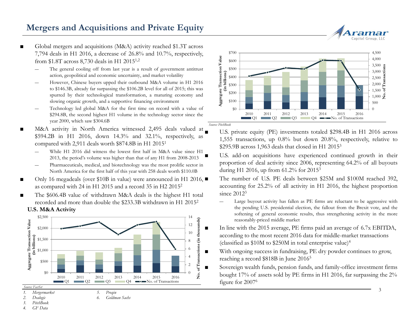### **Mergers and Acquisitions and Private Equity**

- Global mergers and acquisitions (M&A) activity reached \$1.3T across 7,794 deals in H1 2016, a decrease of 26.8% and 10.7%, respectively, from \$1.8T across 8,730 deals in H1 20151,2
	- The general cooling off from last year is a result of government antitrust action, geopolitical and economic uncertainty, and market volatility
	- ― However, Chinese buyers upped their outbound M&A volume in H1 2016 to \$146.3B, already far surpassing the \$106.2B level for all of 2015; this was spurred by their technological transformation, a maturing economy and slowing organic growth, and a supportive financing environment
	- Technology led global M&A for the first time on record with a value of \$294.8B, the second highest H1 volume in the technology sector since the year 2000, which saw \$304.6B
- M&A activity in North America witnessed 2,495 deals valued at \$594.2B in H1 2016, down 14.3% and 32.1%, respectively, as compared with 2,911 deals worth \$874.8B in H1 2015<sup>1</sup>
	- While H1 2016 did witness the lowest first half in M&A value since H1 2013, the period's volume was higher than that of any H1 from 2008-2013
	- ― Pharmaceuticals, medical, and biotechnology was the most prolific sector in North America for the first half of this year with 258 deals worth \$110.0B
- Only 16 megadeals (over \$10B in value) were announced in H1 2016, as compared with 24 in H1 2015 and a record 35 in H2 2015<sup>2</sup>
- **U.S. M&A Activity** The \$606.4B value of withdrawn M&A deals is the highest H1 total recorded and more than double the \$233.3B withdrawn in H1 2015<sup>2</sup>



*6. Goldman Sachs*



U.S. private equity (PE) investments totaled \$298.4B in H1 2016 across 1,555 transactions, up 0.8% but down 20.8%, respectively, relative to \$295.9B across 1,963 deals that closed in H1 2015<sup>3</sup>

U.S. add-on acquisitions have experienced continued growth in their proportion of deal activity since 2006, representing 64.2% of all buyouts during H1 2016, up from 61.2% for 2015<sup>3</sup>

The number of U.S. PE deals between \$25M and \$100M reached 392, accounting for 25.2% of all activity in H1 2016, the highest proportion since  $2012<sup>3</sup>$ 

- ― Large buyout activity has fallen as PE firms are reluctant to be aggressive with the pending U.S. presidential election, the fallout from the Brexit vote, and the softening of general economic results, thus strengthening activity in the more reasonably-priced middle market
- In line with the 2015 average, PE firms paid an average of 6.7x EBITDA, according to the most recent 2016 data for middle-market transactions (classified as  $$10M$  to  $$250M$  in total enterprise value)<sup>4</sup>
- With ongoing success in fundraising, PE dry powder continues to grow, reaching a record \$818B in June 2016<sup>5</sup>
	- Sovereign wealth funds, pension funds, and family-office investment firms bought 17% of assets sold by PE firms in H1 2016, far surpassing the 2% figure for 2007<sup>6</sup>

- *1. Mergermarket 2. Dealogic*
- *3. PitchBook*
- *4. GF Data*

Capital Group, LLC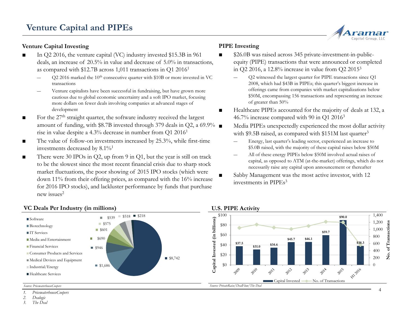#### **Venture Capital Investing**

- In Q2 2016, the venture capital (VC) industry invested \$15.3B in 961 deals, an increase of 20.5% in value and decrease of 5.0% in transactions, as compared with \$12.7B across 1,011 transactions in Q1 2016<sup>1</sup>
	- Q2 2016 marked the 10<sup>th</sup> consecutive quarter with \$10B or more invested in VC transactions
	- Venture capitalists have been successful in fundraising, but have grown more cautious due to global economic uncertainty and a soft IPO market, focusing more dollars on fewer deals involving companies at advanced stages of development
- For the  $27<sup>th</sup>$  straight quarter, the software industry received the largest amount of funding, with \$8.7B invested through 379 deals in Q2, a 69.9% rise in value despite a 4.3% decrease in number from Q1 2016<sup>1</sup>
- The value of follow-on investments increased by 25.3%, while first-time investments decreased by 8.1%<sup>1</sup>
- There were 30 IPOs in Q2, up from 9 in Q1, but the year is still on track to be the slowest since the most recent financial crisis due to sharp stock market fluctuations, the poor showing of 2015 IPO stocks (which were down 11% from their offering prices, as compared with the 16% increase for 2016 IPO stocks), and lackluster performance by funds that purchase new issues $2$

#### **VC Deals Per Industry (in millions)**



- \$26.0B was raised across 345 private-investment-in-publicequity (PIPE) transactions that were announced or completed in Q2 2016, a 12.8% increase in value from Q2 2015<sup>3</sup>
	- ― Q2 witnessed the largest quarter for PIPE transactions since Q1 2008, which had \$43B in PIPEs; this quarter's biggest increase in offerings came from companies with market capitalizations below \$50M, encompassing 156 transactions and representing an increase of greater than 50%

Capital Group, LLC

- Healthcare PIPEs accounted for the majority of deals at 132, a 46.7% increase compared with 90 in Q1 2016<sup>3</sup>
	- Media PIPEs unexpectedly experienced the most dollar activity with  $$9.5B$  raised, as compared with  $$151M$  last quarter<sup>3</sup>
		- ― Energy, last quarter's leading sector, experienced an increase to \$5.0B raised, with the majority of these capital raises below \$50M
	- ― All of these energy PIPEs below \$50M involved actual raises of capital, as opposed to ATM (at-the-market) offerings, which do not necessarily raise any capital upon announcement or thereafter
- Sabby Management was the most active investor, with 12 investments in PIPEs<sup>3</sup>



#### *Source: PricewaterhouseCoopers*

*1. PricewaterhouseCoopers*

*2. Dealogic*

■Software

*3. The Deal*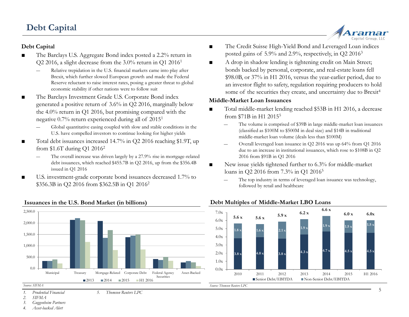### **Debt Capital**

#### **Debt Capital**

- The Barclays U.S. Aggregate Bond index posted a 2.2% return in Q2 2016, a slight decrease from the 3.0% return in Q1 2016<sup>1</sup>
	- Relative trepidation in the U.S. financial markets came into play after Brexit, which further slowed European growth and made the Federal Reserve reluctant to raise interest rates, posing a greater threat to global economic stability if other nations were to follow suit
- The Barclays Investment Grade U.S. Corporate Bond index generated a positive return of 3.6% in Q2 2016, marginally below the 4.0% return in Q1 2016, but promising compared with the negative 0.7% return experienced during all of 2015<sup>1</sup>
	- ― Global quantitative easing coupled with slow and stable conditions in the U.S. have compelled investors to continue looking for higher yields
- Total debt issuances increased 14.7% in Q2 2016 reaching \$1.9T, up from \$1.6T during Q1 2016<sup>2</sup>
	- The overall increase was driven largely by a 27.9% rise in mortgage-related debt issuances, which reached \$455.7B in Q2 2016, up from the \$356.4B issued in Q1 2016
- U.S. investment-grade corporate bond issuances decreased 1.7% to \$356.3B in Q2 2016 from \$362.5B in Q1 2016<sup>2</sup>

■ The Credit Suisse High-Yield Bond and Leveraged Loan indices posted gains of 5.9% and 2.9%, respectively, in Q2 2016<sup>3</sup>

Capital Group, LLC

■ A drop in shadow lending is tightening credit on Main Street; bonds backed by personal, corporate, and real-estate loans fell \$98.0B, or 37% in H1 2016, versus the year-earlier period, due to an investor flight to safety, regulation requiring producers to hold some of the securities they create, and uncertainty due to Brexit<sup>4</sup>

#### **Middle-Market Loan Issuances**

- Total middle-market lending reached \$53B in H1 2016, a decrease from \$71B in H1 2015<sup>5</sup>
	- ― The volume is comprised of \$39B in large middle-market loan issuances (classified as \$100M to \$500M in deal size) and \$14B in traditional middle-market loan volume (deals less than \$100M)
	- ― Overall leveraged loan issuance in Q2 2016 was up 64% from Q1 2016 due to an increase in institutional issuances, which rose to \$108B in Q2 2016 from \$91B in Q1 2016
- New issue yields tightened further to 6.3% for middle-market loans in O2 2016 from 7.3% in O1 2016<sup>5</sup>

**Debt Multiples of Middle-Market LBO Loans**

The top industry in terms of leveraged loan issuance was technology, followed by retail and healthcare



#### **Issuances in the U.S. Bond Market (in billions)**

*2. SIFMA*

*3. Guggenheim Partners*

*4. Asset-backed Alert*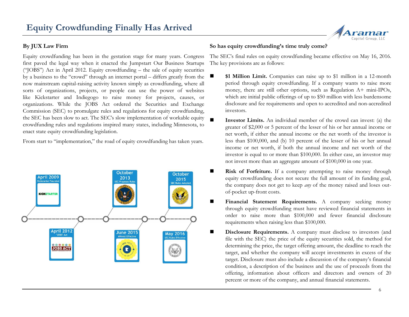#### **By JUX Law Firm**

Equity crowdfunding has been in the gestation stage for many years. Congress first paved the legal way when it enacted the Jumpstart Our Business Startups ("JOBS") Act in April 2012. Equity crowdfunding – the sale of equity securities by a business to the "crowd" through an internet portal – differs greatly from the now mainstream capital-raising activity known simply as crowdfunding, where all sorts of organizations, projects, or people can use the power of websites like Kickstarter and Indiegogo to raise money for projects, causes, or organizations. While the JOBS Act ordered the Securities and Exchange Commission (SEC) to promulgate rules and regulations for equity crowdfunding, the SEC has been slow to act. The SEC's slow implementation of workable equity crowdfunding rules and regulations inspired many states, including Minnesota, to enact state equity crowdfunding legislation.

From start to "implementation," the road of equity crowdfunding has taken years.



#### **So has equity crowdfunding's time truly come?**

The SEC's final rules on equity crowdfunding became effective on May 16, 2016. The key provisions are as follows:

- **\$1 Million Limit.** Companies can raise up to \$1 million in a 12-month period through equity crowdfunding. If a company wants to raise more money, there are still other options, such as Regulation A+ mini-IPOs, which are initial public offerings of up to \$50 million with less burdensome disclosure and fee requirements and open to accredited and non-accredited investors.
- **Investor Limits.** An individual member of the crowd can invest: (a) the greater of \$2,000 or 5 percent of the lesser of his or her annual income or net worth, if either the annual income or the net worth of the investor is less than \$100,000, and (b) 10 percent of the lesser of his or her annual income or net worth, if both the annual income and net worth of the investor is equal to or more than \$100,000. In either case, an investor may not invest more than an aggregate amount of \$100,000 in one year.
- **Risk of Forfeiture.** If a company attempting to raise money through equity crowdfunding does not secure the full amount of its funding goal, the company does not get to keep *any* of the money raised and loses outof-pocket up-front costs.
- **Financial Statement Requirements.** A company seeking money through equity crowdfunding must have reviewed financial statements in order to raise more than \$100,000 and fewer financial disclosure requirements when raising less than \$100,000.
- **Disclosure Requirements.** A company must disclose to investors (and file with the SEC) the price of the equity securities sold, the method for determining the price, the target offering amount, the deadline to reach the target, and whether the company will accept investments in excess of the target. Disclosure must also include a discussion of the company's financial condition, a description of the business and the use of proceeds from the offering, information about officers and directors and owners of 20 percent or more of the company, and annual financial statements.

amar Capital Group, LLC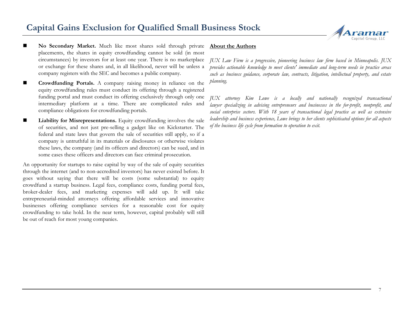### **Capital Gains Exclusion for Qualified Small Business Stock**



- **No Secondary Market.** Much like most shares sold through private placements, the shares in equity crowdfunding cannot be sold (in most circumstances) by investors for at least one year. There is no marketplace or exchange for these shares and, in all likelihood, never will be unless a company registers with the SEC and becomes a public company.
- **Crowdfunding Portals.** A company raising money in reliance on the equity crowdfunding rules must conduct its offering through a registered funding portal and must conduct its offering exclusively through only one intermediary platform at a time. There are complicated rules and compliance obligations for crowdfunding portals.
- **Liability for Misrepresentations.** Equity crowdfunding involves the sale of securities, and not just pre-selling a gadget like on Kickstarter. The federal and state laws that govern the sale of securities still apply, so if a company is untruthful in its materials or disclosures or otherwise violates these laws, the company (and its officers and directors) can be sued, and in some cases these officers and directors can face criminal prosecution.

An opportunity for startups to raise capital by way of the sale of equity securities through the internet (and to non-accredited investors) has never existed before. It goes without saying that there will be costs (some substantial) to equity crowdfund a startup business. Legal fees, compliance costs, funding portal fees, broker-dealer fees, and marketing expenses will add up. It will take entrepreneurial-minded attorneys offering affordable services and innovative businesses offering compliance services for a reasonable cost for equity crowdfunding to take hold. In the near term, however, capital probably will still be out of reach for most young companies.

#### **About the Authors**

*JUX Law Firm is a progressive, pioneering business law firm based in Minneapolis. JUX provides actionable knowledge to meet clients' immediate and long-term needs in practice areas such as business guidance, corporate law, contracts, litigation, intellectual property, and estate planning.*

*JUX attorney Kim Lowe is a locally and nationally recognized transactional lawyer specializing in advising entrepreneurs and businesses in the for-profit, nonprofit, and social enterprise sectors. With 18 years of transactional legal practice as well as extensive leadership and business experience, Lowe brings to her clients sophisticated options for all aspects of the business life cycle from formation to operation to exit.*